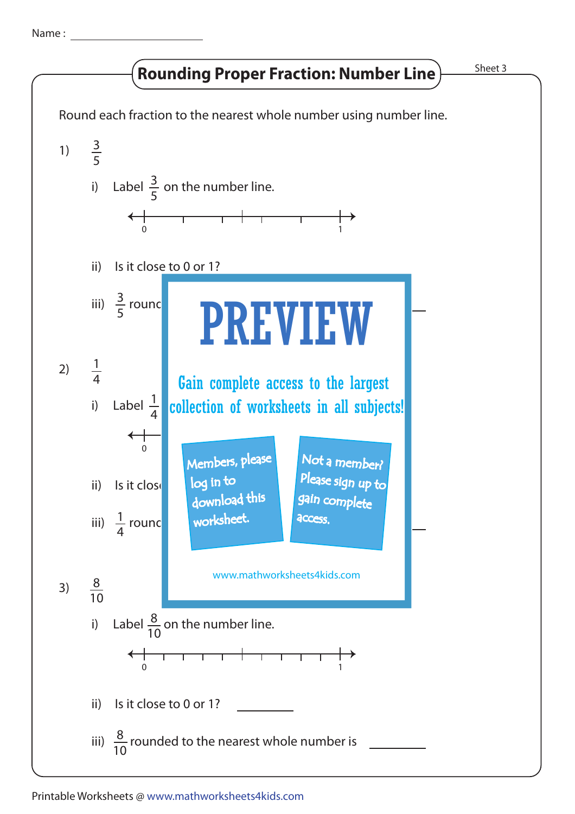Name :

## **Rounding Proper Fraction: Number Line Findment 2** Sheet 3